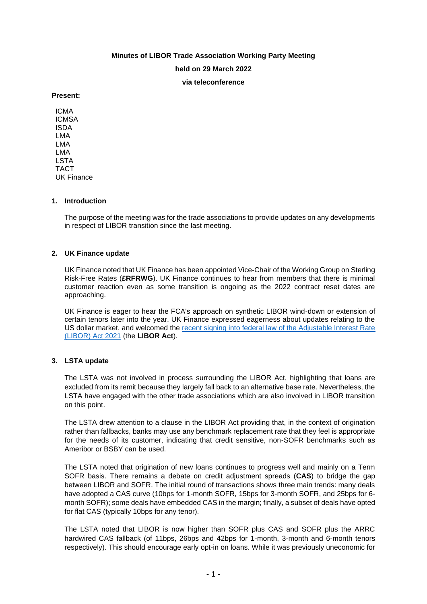# **Minutes of LIBOR Trade Association Working Party Meeting held on 29 March 2022 via teleconference**

#### **Present:**

ICMA ICMSA ISDA LMA LMA LMA LSTA TACT UK Finance

## **1. Introduction**

The purpose of the meeting was for the trade associations to provide updates on any developments in respect of LIBOR transition since the last meeting.

## **2. UK Finance update**

UK Finance noted that UK Finance has been appointed Vice-Chair of the Working Group on Sterling Risk-Free Rates (**£RFRWG**). UK Finance continues to hear from members that there is minimal customer reaction even as some transition is ongoing as the 2022 contract reset dates are approaching.

UK Finance is eager to hear the FCA's approach on synthetic LIBOR wind-down or extension of certain tenors later into the year. UK Finance expressed eagerness about updates relating to the US dollar market, and welcomed the [recent signing into federal law of the Adjustable Interest Rate](https://www.lsta.org/app/uploads/2022/03/Federal-LIBOR-Legislation-Mar-2022.jpeg)  [\(LIBOR\) Act 2021](https://www.lsta.org/app/uploads/2022/03/Federal-LIBOR-Legislation-Mar-2022.jpeg) (the **LIBOR Act**).

## **3. LSTA update**

The LSTA was not involved in process surrounding the LIBOR Act, highlighting that loans are excluded from its remit because they largely fall back to an alternative base rate. Nevertheless, the LSTA have engaged with the other trade associations which are also involved in LIBOR transition on this point.

The LSTA drew attention to a clause in the LIBOR Act providing that, in the context of origination rather than fallbacks, banks may use any benchmark replacement rate that they feel is appropriate for the needs of its customer, indicating that credit sensitive, non-SOFR benchmarks such as Ameribor or BSBY can be used.

The LSTA noted that origination of new loans continues to progress well and mainly on a Term SOFR basis. There remains a debate on credit adjustment spreads (**CAS**) to bridge the gap between LIBOR and SOFR. The initial round of transactions shows three main trends: many deals have adopted a CAS curve (10bps for 1-month SOFR, 15bps for 3-month SOFR, and 25bps for 6 month SOFR); some deals have embedded CAS in the margin; finally, a subset of deals have opted for flat CAS (typically 10bps for any tenor).

The LSTA noted that LIBOR is now higher than SOFR plus CAS and SOFR plus the ARRC hardwired CAS fallback (of 11bps, 26bps and 42bps for 1-month, 3-month and 6-month tenors respectively). This should encourage early opt-in on loans. While it was previously uneconomic for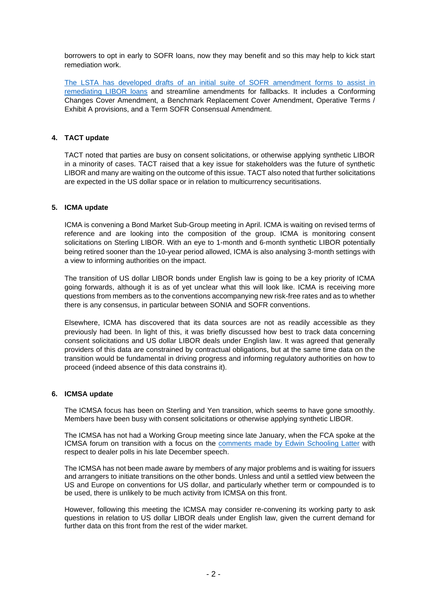borrowers to opt in early to SOFR loans, now they may benefit and so this may help to kick start remediation work.

[The LSTA has developed drafts of an initial suite of SOFR amendment forms to assist in](https://cliffordchance.sharepoint.com/:w:/s/UK-3999-LMA/Efb6Ni1zL31Aoo4TIaLdqSIBInijKZvMdEzWjqkzr5rtUw)  [remediating LIBOR loans](https://cliffordchance.sharepoint.com/:w:/s/UK-3999-LMA/Efb6Ni1zL31Aoo4TIaLdqSIBInijKZvMdEzWjqkzr5rtUw) and streamline amendments for fallbacks. It includes a Conforming Changes Cover Amendment, a Benchmark Replacement Cover Amendment, Operative Terms / Exhibit A provisions, and a Term SOFR Consensual Amendment.

### **4. TACT update**

TACT noted that parties are busy on consent solicitations, or otherwise applying synthetic LIBOR in a minority of cases. TACT raised that a key issue for stakeholders was the future of synthetic LIBOR and many are waiting on the outcome of this issue. TACT also noted that further solicitations are expected in the US dollar space or in relation to multicurrency securitisations.

#### **5. ICMA update**

ICMA is convening a Bond Market Sub-Group meeting in April. ICMA is waiting on revised terms of reference and are looking into the composition of the group. ICMA is monitoring consent solicitations on Sterling LIBOR. With an eye to 1-month and 6-month synthetic LIBOR potentially being retired sooner than the 10-year period allowed, ICMA is also analysing 3-month settings with a view to informing authorities on the impact.

The transition of US dollar LIBOR bonds under English law is going to be a key priority of ICMA going forwards, although it is as of yet unclear what this will look like. ICMA is receiving more questions from members as to the conventions accompanying new risk-free rates and as to whether there is any consensus, in particular between SONIA and SOFR conventions.

Elsewhere, ICMA has discovered that its data sources are not as readily accessible as they previously had been. In light of this, it was briefly discussed how best to track data concerning consent solicitations and US dollar LIBOR deals under English law. It was agreed that generally providers of this data are constrained by contractual obligations, but at the same time data on the transition would be fundamental in driving progress and informing regulatory authorities on how to proceed (indeed absence of this data constrains it).

#### **6. ICMSA update**

The ICMSA focus has been on Sterling and Yen transition, which seems to have gone smoothly. Members have been busy with consent solicitations or otherwise applying synthetic LIBOR.

The ICMSA has not had a Working Group meeting since late January, when the FCA spoke at the ICMSA forum on transition with a focus on the [comments made by Edwin Schooling Latter](https://www.fca.org.uk/news/speeches/so-long-libor-3-weeks-to-go) with respect to dealer polls in his late December speech.

The ICMSA has not been made aware by members of any major problems and is waiting for issuers and arrangers to initiate transitions on the other bonds. Unless and until a settled view between the US and Europe on conventions for US dollar, and particularly whether term or compounded is to be used, there is unlikely to be much activity from ICMSA on this front.

However, following this meeting the ICMSA may consider re-convening its working party to ask questions in relation to US dollar LIBOR deals under English law, given the current demand for further data on this front from the rest of the wider market.